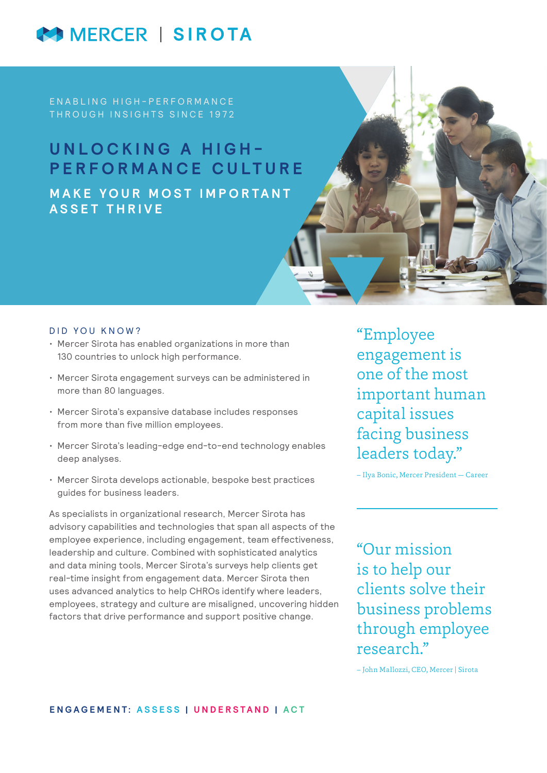# MERCER | SIROTA

EN A B L I N G H I G H - P E R F O R M A N C E THROUGH INSIGHTS SINCE 1972

## **UNLOCKING A HIGH-PERFORMANCE CULTURE MAKE YOUR MOST IMPORTANT ASSET THRIVE**

#### DID YOU KNOW?

- Mercer Sirota has enabled organizations in more than 130 countries to unlock high performance.
- Mercer Sirota engagement surveys can be administered in more than 80 languages.
- Mercer Sirota's expansive database includes responses from more than five million employees.
- Mercer Sirota's leading-edge end-to-end technology enables deep analyses.
- Mercer Sirota develops actionable, bespoke best practices guides for business leaders.

As specialists in organizational research, Mercer Sirota has advisory capabilities and technologies that span all aspects of the employee experience, including engagement, team effectiveness, leadership and culture. Combined with sophisticated analytics and data mining tools, Mercer Sirota's surveys help clients get real-time insight from engagement data. Mercer Sirota then uses advanced analytics to help CHROs identify where leaders, employees, strategy and culture are misaligned, uncovering hidden factors that drive performance and support positive change.

"Employee engagement is one of the most important human capital issues facing business leaders today."

– Ilya Bonic, Mercer President — Career

"Our mission is to help our clients solve their business problems through employee research."

– John Mallozzi, CEO, Mercer | Sirota